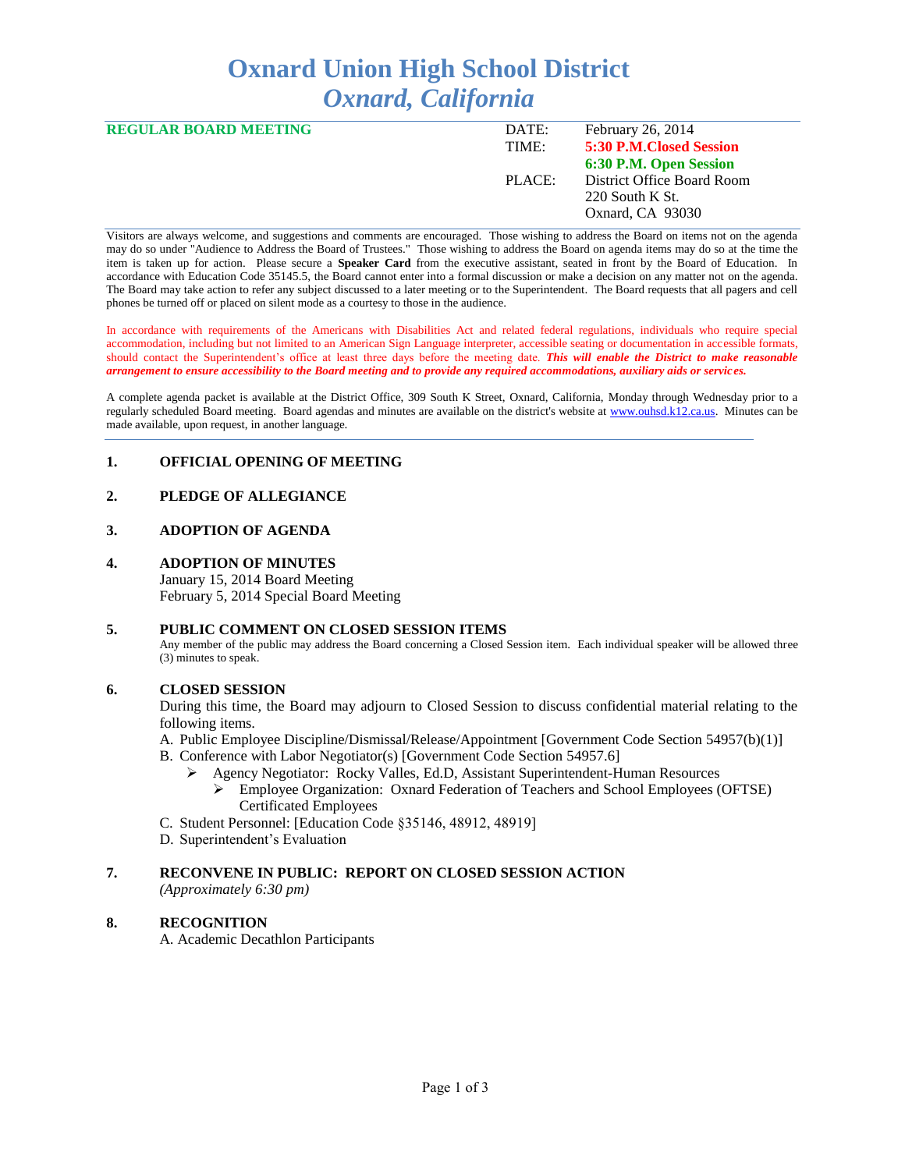# **Oxnard Union High School District** *Oxnard, California*

| <b>REGULAR BOARD MEETING</b> | DATE:  | February 26, 2014          |
|------------------------------|--------|----------------------------|
|                              | TIME:  | 5:30 P.M. Closed Session   |
|                              |        | 6:30 P.M. Open Session     |
|                              | PLACE: | District Office Board Room |
|                              |        | $220$ South K St.          |
|                              |        | Oxnard, CA 93030           |
|                              |        |                            |

Visitors are always welcome, and suggestions and comments are encouraged. Those wishing to address the Board on items not on the agenda may do so under "Audience to Address the Board of Trustees." Those wishing to address the Board on agenda items may do so at the time the item is taken up for action. Please secure a **Speaker Card** from the executive assistant, seated in front by the Board of Education. In accordance with Education Code 35145.5, the Board cannot enter into a formal discussion or make a decision on any matter not on the agenda. The Board may take action to refer any subject discussed to a later meeting or to the Superintendent. The Board requests that all pagers and cell phones be turned off or placed on silent mode as a courtesy to those in the audience.

In accordance with requirements of the Americans with Disabilities Act and related federal regulations, individuals who require special accommodation, including but not limited to an American Sign Language interpreter, accessible seating or documentation in accessible formats, should contact the Superintendent's office at least three days before the meeting date. *This will enable the District to make reasonable arrangement to ensure accessibility to the Board meeting and to provide any required accommodations, auxiliary aids or services.* 

A complete agenda packet is available at the District Office, 309 South K Street, Oxnard, California, Monday through Wednesday prior to a regularly scheduled Board meeting. Board agendas and minutes are available on the district's website at [www.ouhsd.k12.ca.us.](http://www.ouhsd.k12.ca.us/)Minutes can be made available, upon request, in another language.

#### **1. OFFICIAL OPENING OF MEETING**

### **2. PLEDGE OF ALLEGIANCE**

#### **3. ADOPTION OF AGENDA**

#### **4. ADOPTION OF MINUTES**

January 15, 2014 Board Meeting February 5, 2014 Special Board Meeting

#### **5. PUBLIC COMMENT ON CLOSED SESSION ITEMS**

Any member of the public may address the Board concerning a Closed Session item. Each individual speaker will be allowed three (3) minutes to speak.

#### **6. CLOSED SESSION**

During this time, the Board may adjourn to Closed Session to discuss confidential material relating to the following items.

- A. Public Employee Discipline/Dismissal/Release/Appointment [Government Code Section 54957(b)(1)]
- B. Conference with Labor Negotiator(s) [Government Code Section 54957.6]
	- Agency Negotiator: Rocky Valles, Ed.D, Assistant Superintendent-Human Resources
		- Employee Organization: Oxnard Federation of Teachers and School Employees (OFTSE) Certificated Employees
- C. Student Personnel: [Education Code §35146, 48912, 48919]
- D. Superintendent's Evaluation

# **7. RECONVENE IN PUBLIC: REPORT ON CLOSED SESSION ACTION**

*(Approximately 6:30 pm)*

#### **8. RECOGNITION**

A. Academic Decathlon Participants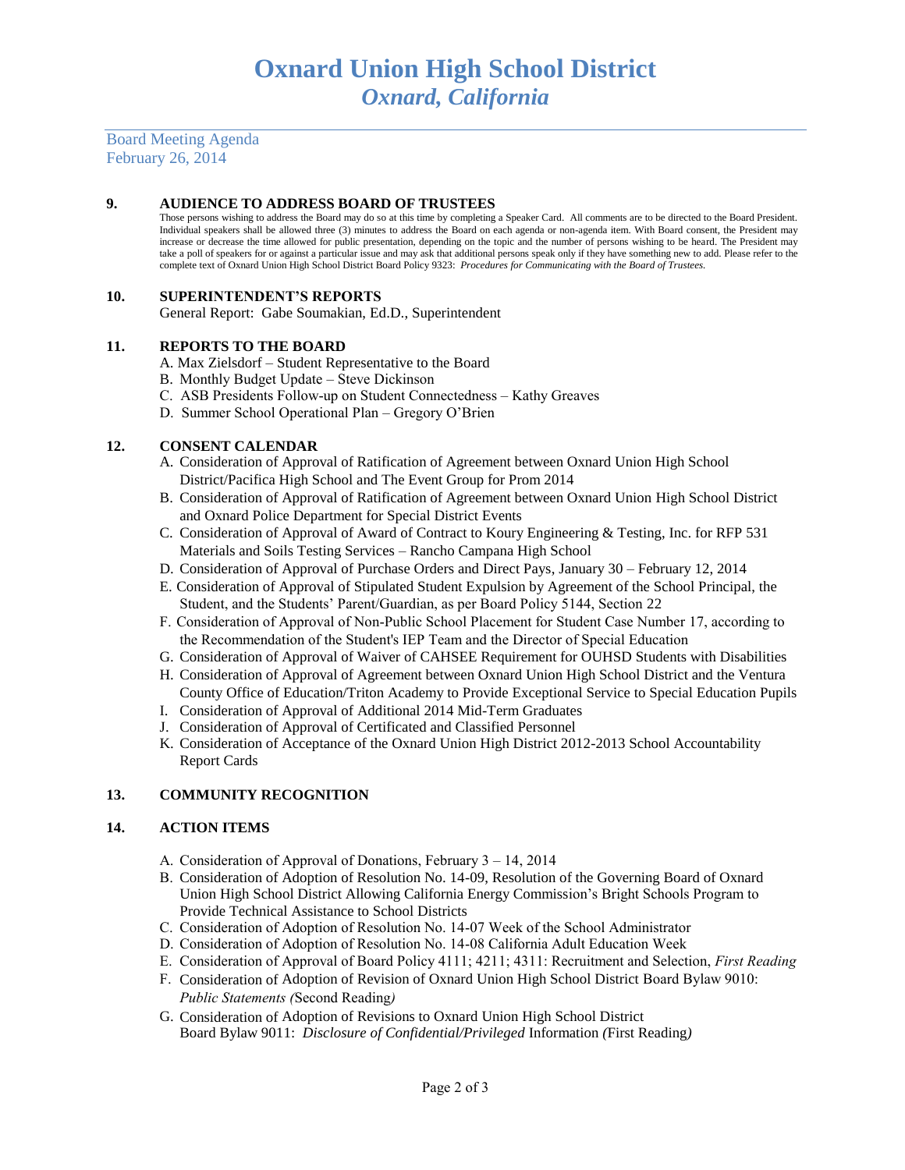Board Meeting Agenda February 26, 2014

#### **9. AUDIENCE TO ADDRESS BOARD OF TRUSTEES**

Those persons wishing to address the Board may do so at this time by completing a Speaker Card. All comments are to be directed to the Board President. Individual speakers shall be allowed three (3) minutes to address the Board on each agenda or non-agenda item. With Board consent, the President may increase or decrease the time allowed for public presentation, depending on the topic and the number of persons wishing to be heard. The President may take a poll of speakers for or against a particular issue and may ask that additional persons speak only if they have something new to add. Please refer to the complete text of Oxnard Union High School District Board Policy 9323: *Procedures for Communicating with the Board of Trustees.*

#### **10. SUPERINTENDENT'S REPORTS**

General Report: Gabe Soumakian, Ed.D., Superintendent

#### **11. REPORTS TO THE BOARD**

- A. Max Zielsdorf Student Representative to the Board
- B. Monthly Budget Update Steve Dickinson
- C. ASB Presidents Follow-up on Student Connectedness Kathy Greaves
- D. Summer School Operational Plan Gregory O'Brien

#### **12. CONSENT CALENDAR**

- A. Consideration of Approval of Ratification of Agreement between Oxnard Union High School District/Pacifica High School and The Event Group for Prom 2014
- B. Consideration of Approval of Ratification of Agreement between Oxnard Union High School District and Oxnard Police Department for Special District Events
- C. Consideration of Approval of Award of Contract to Koury Engineering & Testing, Inc. for RFP 531 Materials and Soils Testing Services – Rancho Campana High School
- D. Consideration of Approval of Purchase Orders and Direct Pays, January 30 February 12, 2014
- E. Consideration of Approval of Stipulated Student Expulsion by Agreement of the School Principal, the Student, and the Students' Parent/Guardian, as per Board Policy 5144, Section 22
- F. Consideration of Approval of Non-Public School Placement for Student Case Number 17, according to the Recommendation of the Student's IEP Team and the Director of Special Education
- G. Consideration of Approval of Waiver of CAHSEE Requirement for OUHSD Students with Disabilities
- H. Consideration of Approval of Agreement between Oxnard Union High School District and the Ventura County Office of Education/Triton Academy to Provide Exceptional Service to Special Education Pupils
- I. Consideration of Approval of Additional 2014 Mid-Term Graduates
- J. Consideration of Approval of Certificated and Classified Personnel
- K. Consideration of Acceptance of the Oxnard Union High District 2012-2013 School Accountability Report Cards

#### **13. COMMUNITY RECOGNITION**

#### **14. ACTION ITEMS**

- A. Consideration of Approval of Donations, February 3 14, 2014
- B. Consideration of Adoption of Resolution No. 14-09, Resolution of the Governing Board of Oxnard Union High School District Allowing California Energy Commission's Bright Schools Program to Provide Technical Assistance to School Districts
- C. Consideration of Adoption of Resolution No. 14-07 Week of the School Administrator
- D. Consideration of Adoption of Resolution No. 14-08 California Adult Education Week
- E. Consideration of Approval of Board Policy 4111; 4211; 4311: Recruitment and Selection, *First Reading*
- F. Consideration of Adoption of Revision of Oxnard Union High School District Board Bylaw 9010: *Public Statements (*Second Reading*)*
- G. Consideration of Adoption of Revisions to Oxnard Union High School District Board Bylaw 9011: *Disclosure of Confidential/Privileged* Information *(*First Reading*)*